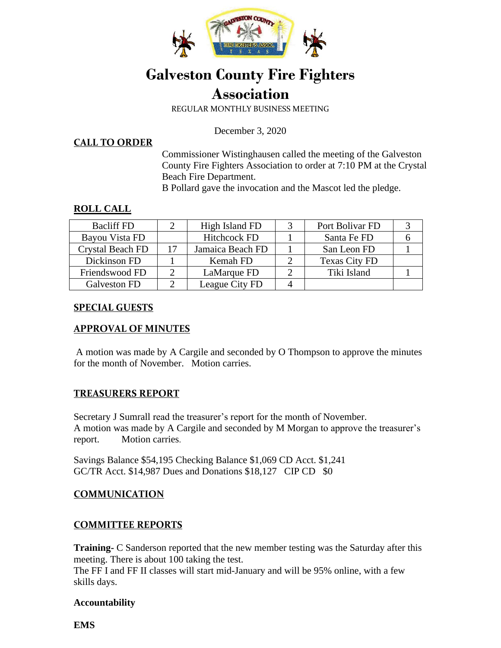

# **Galveston County Fire Fighters Association**

REGULAR MONTHLY BUSINESS MEETING

December 3, 2020

#### **CALL TO ORDER**

Commissioner Wistinghausen called the meeting of the Galveston County Fire Fighters Association to order at 7:10 PM at the Crystal Beach Fire Department.

B Pollard gave the invocation and the Mascot led the pledge.

#### **ROLL CALL**

| <b>Bacliff FD</b>       |    | High Island FD      | Port Bolivar FD      |  |
|-------------------------|----|---------------------|----------------------|--|
| Bayou Vista FD          |    | <b>Hitchcock FD</b> | Santa Fe FD          |  |
| <b>Crystal Beach FD</b> | 17 | Jamaica Beach FD    | San Leon FD          |  |
| Dickinson FD            |    | Kemah FD            | <b>Texas City FD</b> |  |
| Friendswood FD          |    | LaMarque FD         | Tiki Island          |  |
| Galveston FD            |    | League City FD      |                      |  |

#### **SPECIAL GUESTS**

# **APPROVAL OF MINUTES**

A motion was made by A Cargile and seconded by O Thompson to approve the minutes for the month of November. Motion carries.

# **TREASURERS REPORT**

Secretary J Sumrall read the treasurer's report for the month of November. A motion was made by A Cargile and seconded by M Morgan to approve the treasurer's report. Motion carries.

Savings Balance \$54,195 Checking Balance \$1,069 CD Acct. \$1,241 GC/TR Acct. \$14,987 Dues and Donations \$18,127 CIP CD \$0

# **COMMUNICATION**

# **COMMITTEE REPORTS**

**Training-** C Sanderson reported that the new member testing was the Saturday after this meeting. There is about 100 taking the test.

The FF I and FF II classes will start mid-January and will be 95% online, with a few skills days.

#### **Accountability**

**EMS**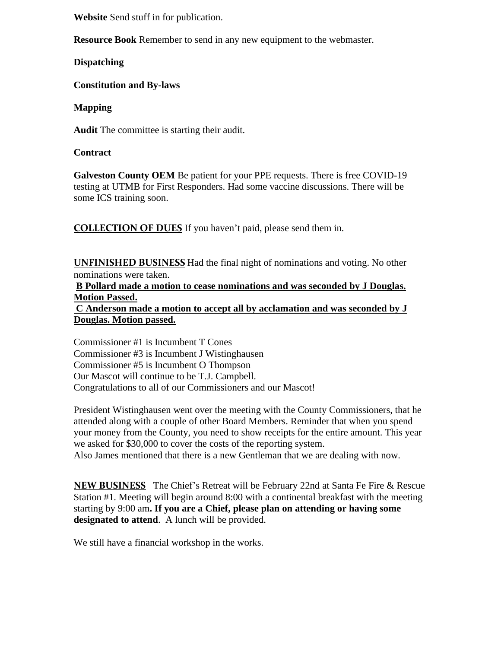**Website** Send stuff in for publication.

**Resource Book** Remember to send in any new equipment to the webmaster.

**Dispatching** 

**Constitution and By-laws** 

**Mapping** 

**Audit** The committee is starting their audit.

# **Contract**

**Galveston County OEM** Be patient for your PPE requests. There is free COVID-19 testing at UTMB for First Responders. Had some vaccine discussions. There will be some ICS training soon.

**COLLECTION OF DUES** If you haven't paid, please send them in.

**UNFINISHED BUSINESS** Had the final night of nominations and voting. No other nominations were taken.

**B Pollard made a motion to cease nominations and was seconded by J Douglas. Motion Passed.**

**C Anderson made a motion to accept all by acclamation and was seconded by J Douglas. Motion passed.**

Commissioner #1 is Incumbent T Cones Commissioner #3 is Incumbent J Wistinghausen Commissioner #5 is Incumbent O Thompson Our Mascot will continue to be T.J. Campbell. Congratulations to all of our Commissioners and our Mascot!

President Wistinghausen went over the meeting with the County Commissioners, that he attended along with a couple of other Board Members. Reminder that when you spend your money from the County, you need to show receipts for the entire amount. This year we asked for \$30,000 to cover the costs of the reporting system. Also James mentioned that there is a new Gentleman that we are dealing with now.

**NEW BUSINESS** The Chief's Retreat will be February 22nd at Santa Fe Fire & Rescue Station #1. Meeting will begin around 8:00 with a continental breakfast with the meeting

starting by 9:00 am**. If you are a Chief, please plan on attending or having some designated to attend**. A lunch will be provided.

We still have a financial workshop in the works.